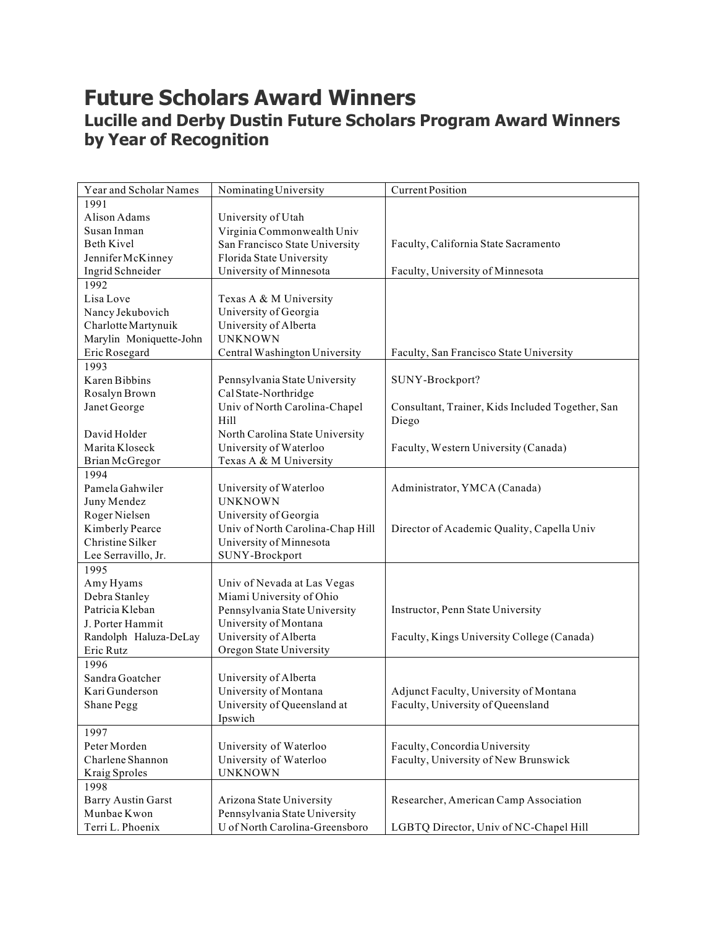## **Future Scholars Award Winners Lucille and Derby Dustin Future Scholars Program Award Winners by Year of Recognition**

| Year and Scholar Names    | Nominating University                    | <b>Current Position</b>                          |
|---------------------------|------------------------------------------|--------------------------------------------------|
| 1991                      |                                          |                                                  |
| Alison Adams              | University of Utah                       |                                                  |
| Susan Inman               | Virginia Commonwealth Univ               |                                                  |
| <b>Beth Kivel</b>         | San Francisco State University           | Faculty, California State Sacramento             |
| Jennifer McKinney         | Florida State University                 |                                                  |
| Ingrid Schneider          | University of Minnesota                  | Faculty, University of Minnesota                 |
| 1992                      |                                          |                                                  |
| Lisa Love                 | Texas A & M University                   |                                                  |
| Nancy Jekubovich          | University of Georgia                    |                                                  |
| Charlotte Martynuik       | University of Alberta                    |                                                  |
| Marylin Moniquette-John   | <b>UNKNOWN</b>                           |                                                  |
| Eric Rosegard             | Central Washington University            | Faculty, San Francisco State University          |
| 1993                      |                                          |                                                  |
| Karen Bibbins             | Pennsylvania State University            | SUNY-Brockport?                                  |
| Rosalyn Brown             | Cal State-Northridge                     |                                                  |
| Janet George              | Univ of North Carolina-Chapel            | Consultant, Trainer, Kids Included Together, San |
|                           | Hill                                     | Diego                                            |
| David Holder              | North Carolina State University          |                                                  |
| Marita Kloseck            | University of Waterloo                   | Faculty, Western University (Canada)             |
| Brian McGregor            | Texas A & M University                   |                                                  |
| 1994                      |                                          |                                                  |
| Pamela Gahwiler           |                                          | Administrator, YMCA (Canada)                     |
|                           | University of Waterloo<br><b>UNKNOWN</b> |                                                  |
| Juny Mendez               |                                          |                                                  |
| Roger Nielsen             | University of Georgia                    |                                                  |
| Kimberly Pearce           | Univ of North Carolina-Chap Hill         | Director of Academic Quality, Capella Univ       |
| Christine Silker          | University of Minnesota                  |                                                  |
| Lee Serravillo, Jr.       | SUNY-Brockport                           |                                                  |
| 1995                      |                                          |                                                  |
| Amy Hyams                 | Univ of Nevada at Las Vegas              |                                                  |
| Debra Stanley             | Miami University of Ohio                 |                                                  |
| Patricia Kleban           | Pennsylvania State University            | Instructor, Penn State University                |
| J. Porter Hammit          | University of Montana                    |                                                  |
| Randolph Haluza-DeLay     | University of Alberta                    | Faculty, Kings University College (Canada)       |
| Eric Rutz                 | Oregon State University                  |                                                  |
| 1996                      |                                          |                                                  |
| Sandra Goatcher           | University of Alberta                    |                                                  |
| Kari Gunderson            | University of Montana                    | Adjunct Faculty, University of Montana           |
| Shane Pegg                | University of Queensland at              | Faculty, University of Queensland                |
|                           | Ipswich                                  |                                                  |
| 1997                      |                                          |                                                  |
| Peter Morden              | University of Waterloo                   | Faculty, Concordia University                    |
| Charlene Shannon          | University of Waterloo                   | Faculty, University of New Brunswick             |
| Kraig Sproles             | <b>UNKNOWN</b>                           |                                                  |
| 1998                      |                                          |                                                  |
| <b>Barry Austin Garst</b> | Arizona State University                 | Researcher, American Camp Association            |
| Munbae Kwon               | Pennsylvania State University            |                                                  |
| Terri L. Phoenix          | U of North Carolina-Greensboro           | LGBTQ Director, Univ of NC-Chapel Hill           |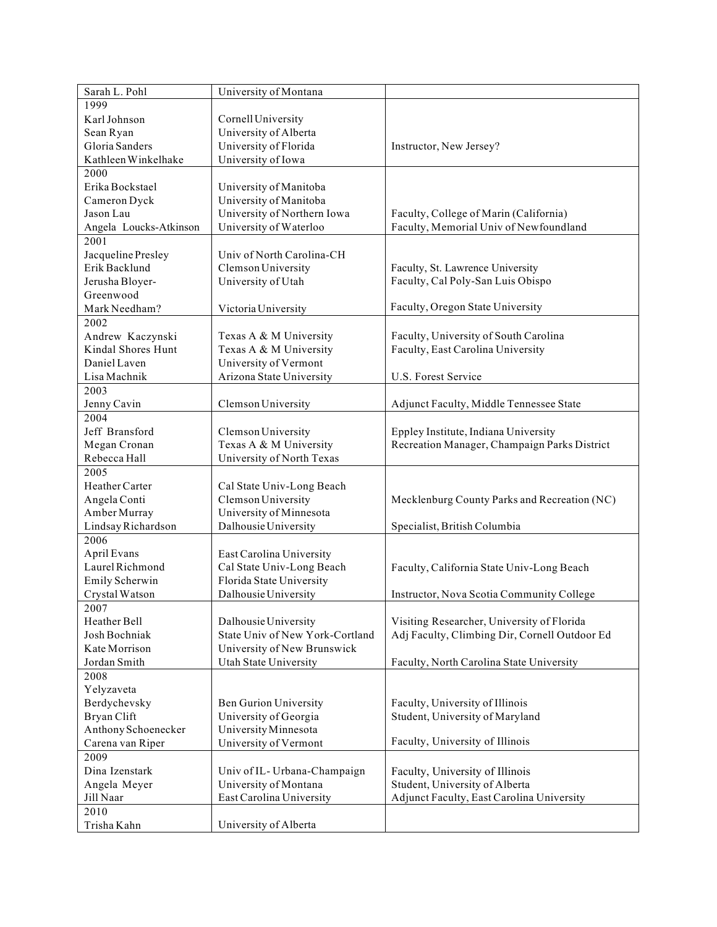| Sarah L. Pohl                          | University of Montana           |                                               |
|----------------------------------------|---------------------------------|-----------------------------------------------|
| 1999                                   |                                 |                                               |
| Karl Johnson                           | Cornell University              |                                               |
| Sean Ryan                              | University of Alberta           |                                               |
| Gloria Sanders                         | University of Florida           | Instructor, New Jersey?                       |
| Kathleen Winkelhake                    | University of Iowa              |                                               |
| 2000                                   |                                 |                                               |
| Erika Bockstael                        | University of Manitoba          |                                               |
| Cameron Dyck                           | University of Manitoba          |                                               |
| Jason Lau                              | University of Northern Iowa     | Faculty, College of Marin (California)        |
| Angela Loucks-Atkinson                 | University of Waterloo          | Faculty, Memorial Univ of Newfoundland        |
| 2001                                   |                                 |                                               |
| Jacqueline Presley                     | Univ of North Carolina-CH       |                                               |
| Erik Backlund                          | Clemson University              | Faculty, St. Lawrence University              |
| Jerusha Bloyer-                        | University of Utah              | Faculty, Cal Poly-San Luis Obispo             |
| Greenwood                              |                                 |                                               |
| Mark Needham?                          | Victoria University             | Faculty, Oregon State University              |
| 2002                                   |                                 |                                               |
|                                        | Texas A & M University          | Faculty, University of South Carolina         |
| Andrew Kaczynski<br>Kindal Shores Hunt | Texas A & M University          | Faculty, East Carolina University             |
| Daniel Laven                           | University of Vermont           |                                               |
|                                        |                                 |                                               |
| Lisa Machnik                           | Arizona State University        | U.S. Forest Service                           |
| 2003                                   |                                 |                                               |
| Jenny Cavin                            | Clemson University              | Adjunct Faculty, Middle Tennessee State       |
| 2004                                   |                                 |                                               |
| Jeff Bransford                         | Clemson University              | Eppley Institute, Indiana University          |
| Megan Cronan                           | Texas A & M University          | Recreation Manager, Champaign Parks District  |
| Rebecca Hall                           | University of North Texas       |                                               |
| 2005                                   |                                 |                                               |
| Heather Carter                         | Cal State Univ-Long Beach       |                                               |
| Angela Conti                           | Clemson University              | Mecklenburg County Parks and Recreation (NC)  |
| Amber Murray                           | University of Minnesota         |                                               |
| Lindsay Richardson                     | Dalhousie University            | Specialist, British Columbia                  |
| 2006                                   |                                 |                                               |
| April Evans                            | East Carolina University        |                                               |
| Laurel Richmond                        | Cal State Univ-Long Beach       | Faculty, California State Univ-Long Beach     |
| Emily Scherwin                         | Florida State University        |                                               |
| Crystal Watson                         | Dalhousie University            | Instructor, Nova Scotia Community College     |
| 2007                                   |                                 |                                               |
| Heather Bell                           | Dalhousie University            | Visiting Researcher, University of Florida    |
| Josh Bochniak                          | State Univ of New York-Cortland | Adj Faculty, Climbing Dir, Cornell Outdoor Ed |
| Kate Morrison                          | University of New Brunswick     |                                               |
| Jordan Smith                           | Utah State University           | Faculty, North Carolina State University      |
| 2008                                   |                                 |                                               |
| Yelyzaveta                             |                                 |                                               |
| Berdychevsky                           | Ben Gurion University           | Faculty, University of Illinois               |
| Bryan Clift                            | University of Georgia           | Student, University of Maryland               |
| Anthony Schoenecker                    | University Minnesota            |                                               |
| Carena van Riper                       | University of Vermont           | Faculty, University of Illinois               |
| 2009                                   |                                 |                                               |
| Dina Izenstark                         | Univ of IL- Urbana-Champaign    | Faculty, University of Illinois               |
| Angela Meyer                           | University of Montana           | Student, University of Alberta                |
| Jill Naar                              | East Carolina University        | Adjunct Faculty, East Carolina University     |
| 2010                                   |                                 |                                               |
| Trisha Kahn                            | University of Alberta           |                                               |